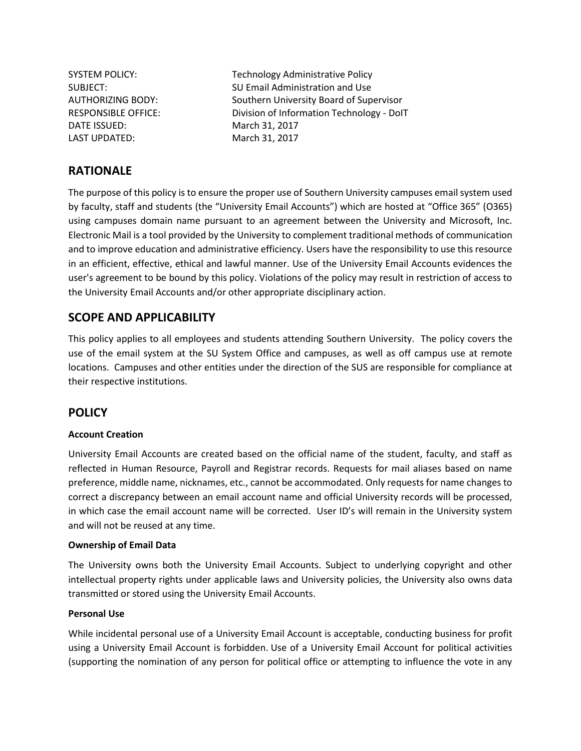DATE ISSUED: March 31, 2017 LAST UPDATED: March 31, 2017

SYSTEM POLICY: Technology Administrative Policy SUBJECT: SU Email Administration and Use AUTHORIZING BODY: Southern University Board of Supervisor RESPONSIBLE OFFICE: Division of Information Technology - DoIT

# **RATIONALE**

The purpose of this policy is to ensure the proper use of Southern University campuses email system used by faculty, staff and students (the "University Email Accounts") which are hosted at "Office 365" (O365) using campuses domain name pursuant to an agreement between the University and Microsoft, Inc. Electronic Mail is a tool provided by the University to complement traditional methods of communication and to improve education and administrative efficiency. Users have the responsibility to use this resource in an efficient, effective, ethical and lawful manner. Use of the University Email Accounts evidences the user's agreement to be bound by this policy. Violations of the policy may result in restriction of access to the University Email Accounts and/or other appropriate disciplinary action.

# **SCOPE AND APPLICABILITY**

This policy applies to all employees and students attending Southern University. The policy covers the use of the email system at the SU System Office and campuses, as well as off campus use at remote locations. Campuses and other entities under the direction of the SUS are responsible for compliance at their respective institutions.

## **POLICY**

#### **Account Creation**

University Email Accounts are created based on the official name of the student, faculty, and staff as reflected in Human Resource, Payroll and Registrar records. Requests for mail aliases based on name preference, middle name, nicknames, etc., cannot be accommodated. Only requests for name changes to correct a discrepancy between an email account name and official University records will be processed, in which case the email account name will be corrected. User ID's will remain in the University system and will not be reused at any time.

#### **Ownership of Email Data**

The University owns both the University Email Accounts. Subject to underlying copyright and other intellectual property rights under applicable laws and University policies, the University also owns data transmitted or stored using the University Email Accounts.

#### **Personal Use**

While incidental personal use of a University Email Account is acceptable, conducting business for profit using a University Email Account is forbidden. Use of a University Email Account for political activities (supporting the nomination of any person for political office or attempting to influence the vote in any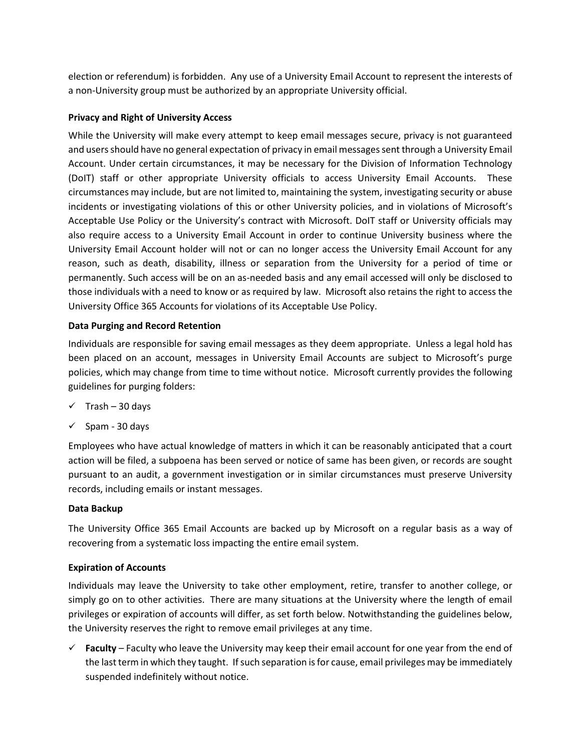election or referendum) is forbidden. Any use of a University Email Account to represent the interests of a non-University group must be authorized by an appropriate University official.

### **Privacy and Right of University Access**

While the University will make every attempt to keep email messages secure, privacy is not guaranteed and users should have no general expectation of privacy in email messages sent through a University Email Account. Under certain circumstances, it may be necessary for the Division of Information Technology (DoIT) staff or other appropriate University officials to access University Email Accounts. These circumstances may include, but are not limited to, maintaining the system, investigating security or abuse incidents or investigating violations of this or other University policies, and in violations of Microsoft's Acceptable Use Policy or the University's contract with Microsoft. DoIT staff or University officials may also require access to a University Email Account in order to continue University business where the University Email Account holder will not or can no longer access the University Email Account for any reason, such as death, disability, illness or separation from the University for a period of time or permanently. Such access will be on an as-needed basis and any email accessed will only be disclosed to those individuals with a need to know or as required by law. Microsoft also retains the right to access the University Office 365 Accounts for violations of its Acceptable Use Policy.

### **Data Purging and Record Retention**

Individuals are responsible for saving email messages as they deem appropriate. Unless a legal hold has been placed on an account, messages in University Email Accounts are subject to Microsoft's purge policies, which may change from time to time without notice. Microsoft currently provides the following guidelines for purging folders:

- $\checkmark$  Trash 30 days
- $\checkmark$  Spam 30 days

Employees who have actual knowledge of matters in which it can be reasonably anticipated that a court action will be filed, a subpoena has been served or notice of same has been given, or records are sought pursuant to an audit, a government investigation or in similar circumstances must preserve University records, including emails or instant messages.

#### **Data Backup**

The University Office 365 Email Accounts are backed up by Microsoft on a regular basis as a way of recovering from a systematic loss impacting the entire email system.

#### **Expiration of Accounts**

Individuals may leave the University to take other employment, retire, transfer to another college, or simply go on to other activities. There are many situations at the University where the length of email privileges or expiration of accounts will differ, as set forth below. Notwithstanding the guidelines below, the University reserves the right to remove email privileges at any time.

 **Faculty** – Faculty who leave the University may keep their email account for one year from the end of the last term in which they taught. If such separation is for cause, email privileges may be immediately suspended indefinitely without notice.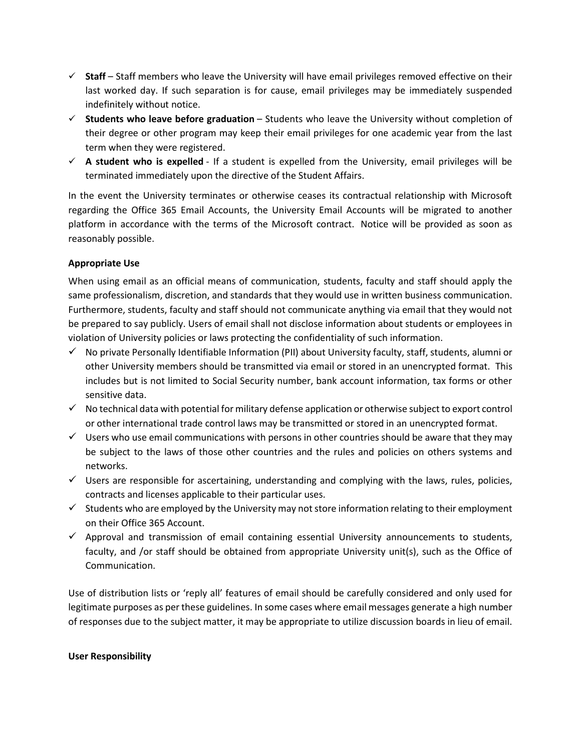- $\checkmark$  Staff Staff members who leave the University will have email privileges removed effective on their last worked day. If such separation is for cause, email privileges may be immediately suspended indefinitely without notice.
- **Students who leave before graduation** Students who leave the University without completion of their degree or other program may keep their email privileges for one academic year from the last term when they were registered.
- $\checkmark$  A student who is expelled If a student is expelled from the University, email privileges will be terminated immediately upon the directive of the Student Affairs.

In the event the University terminates or otherwise ceases its contractual relationship with Microsoft regarding the Office 365 Email Accounts, the University Email Accounts will be migrated to another platform in accordance with the terms of the Microsoft contract. Notice will be provided as soon as reasonably possible.

### **Appropriate Use**

When using email as an official means of communication, students, faculty and staff should apply the same professionalism, discretion, and standards that they would use in written business communication. Furthermore, students, faculty and staff should not communicate anything via email that they would not be prepared to say publicly. Users of email shall not disclose information about students or employees in violation of University policies or laws protecting the confidentiality of such information.

- $\checkmark$  No private Personally Identifiable Information (PII) about University faculty, staff, students, alumni or other University members should be transmitted via email or stored in an unencrypted format. This includes but is not limited to Social Security number, bank account information, tax forms or other sensitive data.
- $\checkmark$  No technical data with potential for military defense application or otherwise subject to export control or other international trade control laws may be transmitted or stored in an unencrypted format.
- $\checkmark$  Users who use email communications with persons in other countries should be aware that they may be subject to the laws of those other countries and the rules and policies on others systems and networks.
- $\checkmark$  Users are responsible for ascertaining, understanding and complying with the laws, rules, policies, contracts and licenses applicable to their particular uses.
- $\checkmark$  Students who are employed by the University may not store information relating to their employment on their Office 365 Account.
- $\checkmark$  Approval and transmission of email containing essential University announcements to students, faculty, and /or staff should be obtained from appropriate University unit(s), such as the Office of Communication.

Use of distribution lists or 'reply all' features of email should be carefully considered and only used for legitimate purposes as per these guidelines. In some cases where email messages generate a high number of responses due to the subject matter, it may be appropriate to utilize discussion boards in lieu of email.

#### **User Responsibility**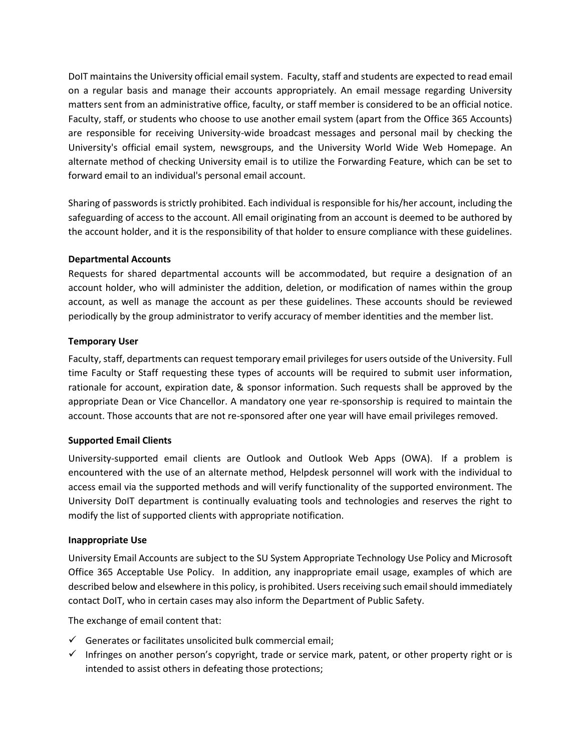DoIT maintains the University official email system. Faculty, staff and students are expected to read email on a regular basis and manage their accounts appropriately. An email message regarding University matters sent from an administrative office, faculty, or staff member is considered to be an official notice. Faculty, staff, or students who choose to use another email system (apart from the Office 365 Accounts) are responsible for receiving University-wide broadcast messages and personal mail by checking the University's official email system, newsgroups, and the University World Wide Web Homepage. An alternate method of checking University email is to utilize the Forwarding Feature, which can be set to forward email to an individual's personal email account.

Sharing of passwords is strictly prohibited. Each individual is responsible for his/her account, including the safeguarding of access to the account. All email originating from an account is deemed to be authored by the account holder, and it is the responsibility of that holder to ensure compliance with these guidelines.

#### **Departmental Accounts**

Requests for shared departmental accounts will be accommodated, but require a designation of an account holder, who will administer the addition, deletion, or modification of names within the group account, as well as manage the account as per these guidelines. These accounts should be reviewed periodically by the group administrator to verify accuracy of member identities and the member list.

#### **Temporary User**

Faculty, staff, departments can request temporary email privileges for users outside of the University. Full time Faculty or Staff requesting these types of accounts will be required to submit user information, rationale for account, expiration date, & sponsor information. Such requests shall be approved by the appropriate Dean or Vice Chancellor. A mandatory one year re-sponsorship is required to maintain the account. Those accounts that are not re-sponsored after one year will have email privileges removed.

#### **Supported Email Clients**

University-supported email clients are Outlook and Outlook Web Apps (OWA). If a problem is encountered with the use of an alternate method, Helpdesk personnel will work with the individual to access email via the supported methods and will verify functionality of the supported environment. The University DoIT department is continually evaluating tools and technologies and reserves the right to modify the list of supported clients with appropriate notification.

#### **Inappropriate Use**

University Email Accounts are subject to the SU System Appropriate Technology Use Policy and Microsoft Office 365 Acceptable Use Policy. In addition, any inappropriate email usage, examples of which are described below and elsewhere in this policy, is prohibited. Users receiving such email should immediately contact DoIT, who in certain cases may also inform the Department of Public Safety.

The exchange of email content that:

- $\checkmark$  Generates or facilitates unsolicited bulk commercial email;
- $\checkmark$  Infringes on another person's copyright, trade or service mark, patent, or other property right or is intended to assist others in defeating those protections;